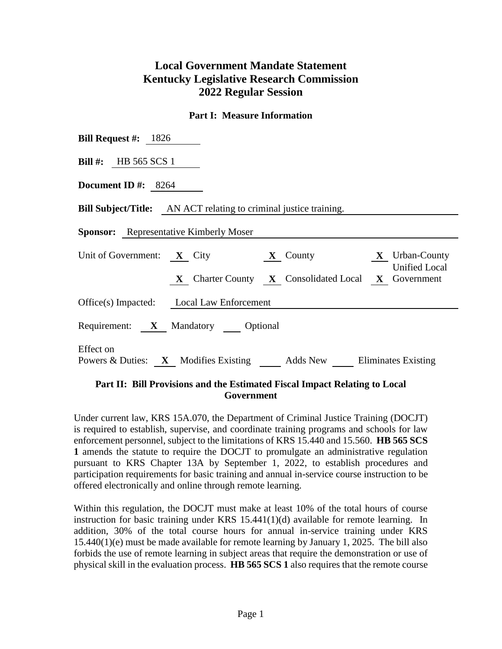# **Local Government Mandate Statement Kentucky Legislative Research Commission 2022 Regular Session**

#### **Part I: Measure Information**

| <b>Bill Request #:</b> $1826$                                                    |
|----------------------------------------------------------------------------------|
| Bill $\#$ : HB 565 SCS 1                                                         |
| Document ID #: $8264$                                                            |
| <b>Bill Subject/Title:</b> AN ACT relating to criminal justice training.         |
| <b>Sponsor:</b> Representative Kimberly Moser                                    |
| Unit of Government: $X$ City $X$ County $X$ Urban-County<br><b>Unified Local</b> |
| X Charter County X Consolidated Local X Government                               |
| Office(s) Impacted: Local Law Enforcement                                        |
| Requirement: X Mandatory Optional                                                |
| Effect on<br>Powers & Duties: X Modifies Existing Adds New Eliminates Existing   |

#### **Part II: Bill Provisions and the Estimated Fiscal Impact Relating to Local Government**

Under current law, KRS 15A.070, the Department of Criminal Justice Training (DOCJT) is required to establish, supervise, and coordinate training programs and schools for law enforcement personnel, subject to the limitations of KRS 15.440 and 15.560. **HB 565 SCS 1** amends the statute to require the DOCJT to promulgate an administrative regulation pursuant to KRS Chapter 13A by September 1, 2022, to establish procedures and participation requirements for basic training and annual in-service course instruction to be offered electronically and online through remote learning.

Within this regulation, the DOCJT must make at least 10% of the total hours of course instruction for basic training under KRS 15.441(1)(d) available for remote learning. In addition, 30% of the total course hours for annual in-service training under KRS 15.440(1)(e) must be made available for remote learning by January 1, 2025. The bill also forbids the use of remote learning in subject areas that require the demonstration or use of physical skill in the evaluation process. **HB 565 SCS 1** also requires that the remote course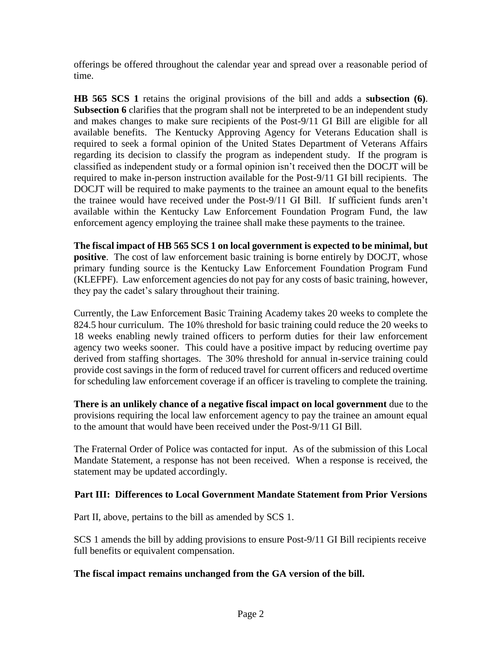offerings be offered throughout the calendar year and spread over a reasonable period of time.

**HB 565 SCS 1** retains the original provisions of the bill and adds a **subsection (6)**. **Subsection 6** clarifies that the program shall not be interpreted to be an independent study and makes changes to make sure recipients of the Post-9/11 GI Bill are eligible for all available benefits. The Kentucky Approving Agency for Veterans Education shall is required to seek a formal opinion of the United States Department of Veterans Affairs regarding its decision to classify the program as independent study. If the program is classified as independent study or a formal opinion isn't received then the DOCJT will be required to make in-person instruction available for the Post-9/11 GI bill recipients. The DOCJT will be required to make payments to the trainee an amount equal to the benefits the trainee would have received under the Post-9/11 GI Bill. If sufficient funds aren't available within the Kentucky Law Enforcement Foundation Program Fund, the law enforcement agency employing the trainee shall make these payments to the trainee.

**The fiscal impact of HB 565 SCS 1 on local government is expected to be minimal, but positive**. The cost of law enforcement basic training is borne entirely by DOCJT, whose primary funding source is the Kentucky Law Enforcement Foundation Program Fund (KLEFPF). Law enforcement agencies do not pay for any costs of basic training, however, they pay the cadet's salary throughout their training.

Currently, the Law Enforcement Basic Training Academy takes 20 weeks to complete the 824.5 hour curriculum. The 10% threshold for basic training could reduce the 20 weeks to 18 weeks enabling newly trained officers to perform duties for their law enforcement agency two weeks sooner. This could have a positive impact by reducing overtime pay derived from staffing shortages. The 30% threshold for annual in-service training could provide cost savings in the form of reduced travel for current officers and reduced overtime for scheduling law enforcement coverage if an officer is traveling to complete the training.

**There is an unlikely chance of a negative fiscal impact on local government** due to the provisions requiring the local law enforcement agency to pay the trainee an amount equal to the amount that would have been received under the Post-9/11 GI Bill.

The Fraternal Order of Police was contacted for input. As of the submission of this Local Mandate Statement, a response has not been received. When a response is received, the statement may be updated accordingly.

## **Part III: Differences to Local Government Mandate Statement from Prior Versions**

Part II, above, pertains to the bill as amended by SCS 1.

SCS 1 amends the bill by adding provisions to ensure Post-9/11 GI Bill recipients receive full benefits or equivalent compensation.

### **The fiscal impact remains unchanged from the GA version of the bill.**